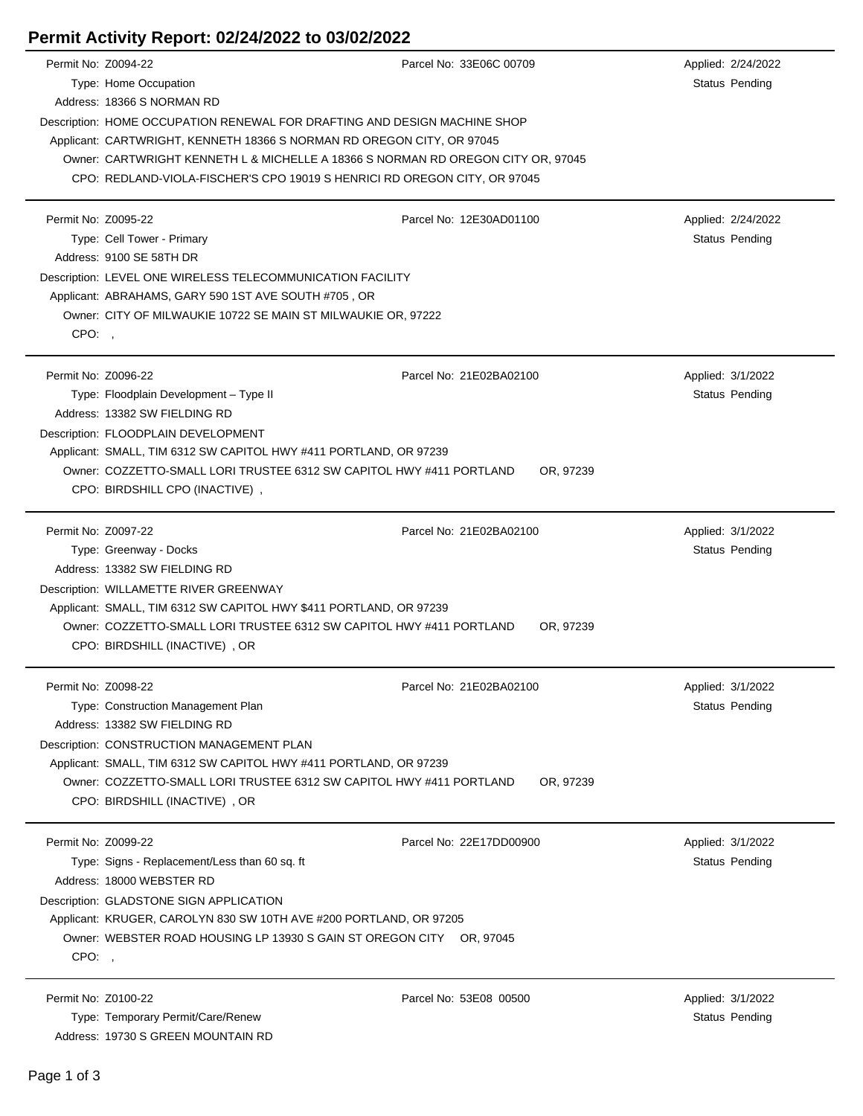## **Permit Activity Report: 02/24/2022 to 03/02/2022**

| Permit No: Z0094-22 |                                                                                                                                                         | Parcel No: 33E06C 00709 | Applied: 2/24/2022                          |  |  |  |  |
|---------------------|---------------------------------------------------------------------------------------------------------------------------------------------------------|-------------------------|---------------------------------------------|--|--|--|--|
|                     | Type: Home Occupation                                                                                                                                   |                         | Status Pending                              |  |  |  |  |
|                     | Address: 18366 S NORMAN RD                                                                                                                              |                         |                                             |  |  |  |  |
|                     | Description: HOME OCCUPATION RENEWAL FOR DRAFTING AND DESIGN MACHINE SHOP                                                                               |                         |                                             |  |  |  |  |
|                     | Applicant: CARTWRIGHT, KENNETH 18366 S NORMAN RD OREGON CITY, OR 97045                                                                                  |                         |                                             |  |  |  |  |
|                     | Owner: CARTWRIGHT KENNETH L & MICHELLE A 18366 S NORMAN RD OREGON CITY OR, 97045                                                                        |                         |                                             |  |  |  |  |
|                     | CPO: REDLAND-VIOLA-FISCHER'S CPO 19019 S HENRICI RD OREGON CITY, OR 97045                                                                               |                         |                                             |  |  |  |  |
| Permit No: Z0095-22 |                                                                                                                                                         | Parcel No: 12E30AD01100 |                                             |  |  |  |  |
|                     | Type: Cell Tower - Primary                                                                                                                              |                         | Applied: 2/24/2022<br><b>Status Pending</b> |  |  |  |  |
|                     |                                                                                                                                                         |                         |                                             |  |  |  |  |
|                     | Address: 9100 SE 58TH DR<br>Description: LEVEL ONE WIRELESS TELECOMMUNICATION FACILITY<br>Applicant: ABRAHAMS, GARY 590 1ST AVE SOUTH #705, OR          |                         |                                             |  |  |  |  |
|                     |                                                                                                                                                         |                         |                                             |  |  |  |  |
|                     |                                                                                                                                                         |                         |                                             |  |  |  |  |
| CPO:                | Owner: CITY OF MILWAUKIE 10722 SE MAIN ST MILWAUKIE OR, 97222                                                                                           |                         |                                             |  |  |  |  |
|                     |                                                                                                                                                         |                         |                                             |  |  |  |  |
| Permit No: Z0096-22 |                                                                                                                                                         | Parcel No: 21E02BA02100 | Applied: 3/1/2022                           |  |  |  |  |
|                     | Type: Floodplain Development - Type II                                                                                                                  |                         | Status Pending                              |  |  |  |  |
|                     | Address: 13382 SW FIELDING RD                                                                                                                           |                         |                                             |  |  |  |  |
|                     | Description: FLOODPLAIN DEVELOPMENT                                                                                                                     |                         |                                             |  |  |  |  |
|                     | Applicant: SMALL, TIM 6312 SW CAPITOL HWY #411 PORTLAND, OR 97239                                                                                       |                         |                                             |  |  |  |  |
|                     | Owner: COZZETTO-SMALL LORI TRUSTEE 6312 SW CAPITOL HWY #411 PORTLAND<br>OR, 97239                                                                       |                         |                                             |  |  |  |  |
|                     | CPO: BIRDSHILL CPO (INACTIVE),                                                                                                                          |                         |                                             |  |  |  |  |
|                     |                                                                                                                                                         |                         |                                             |  |  |  |  |
| Permit No: Z0097-22 |                                                                                                                                                         | Parcel No: 21E02BA02100 | Applied: 3/1/2022<br>Status Pending         |  |  |  |  |
|                     | Type: Greenway - Docks<br>Address: 13382 SW FIELDING RD                                                                                                 |                         |                                             |  |  |  |  |
|                     |                                                                                                                                                         |                         |                                             |  |  |  |  |
|                     | Description: WILLAMETTE RIVER GREENWAY                                                                                                                  |                         |                                             |  |  |  |  |
|                     | Applicant: SMALL, TIM 6312 SW CAPITOL HWY \$411 PORTLAND, OR 97239<br>Owner: COZZETTO-SMALL LORI TRUSTEE 6312 SW CAPITOL HWY #411 PORTLAND<br>OR, 97239 |                         |                                             |  |  |  |  |
|                     | CPO: BIRDSHILL (INACTIVE), OR                                                                                                                           |                         |                                             |  |  |  |  |
|                     |                                                                                                                                                         |                         |                                             |  |  |  |  |
| Permit No: Z0098-22 |                                                                                                                                                         | Parcel No: 21E02BA02100 | Applied: 3/1/2022                           |  |  |  |  |
|                     | Type: Construction Management Plan                                                                                                                      |                         | Status Pending                              |  |  |  |  |
|                     | Address: 13382 SW FIELDING RD                                                                                                                           |                         |                                             |  |  |  |  |
|                     | Description: CONSTRUCTION MANAGEMENT PLAN                                                                                                               |                         |                                             |  |  |  |  |
|                     | Applicant: SMALL, TIM 6312 SW CAPITOL HWY #411 PORTLAND, OR 97239                                                                                       |                         |                                             |  |  |  |  |
|                     | Owner: COZZETTO-SMALL LORI TRUSTEE 6312 SW CAPITOL HWY #411 PORTLAND                                                                                    | OR, 97239               |                                             |  |  |  |  |
|                     | CPO: BIRDSHILL (INACTIVE), OR                                                                                                                           |                         |                                             |  |  |  |  |
| Permit No: Z0099-22 |                                                                                                                                                         | Parcel No: 22E17DD00900 | Applied: 3/1/2022                           |  |  |  |  |
|                     | Type: Signs - Replacement/Less than 60 sq. ft                                                                                                           |                         | Status Pending                              |  |  |  |  |
|                     | Address: 18000 WEBSTER RD                                                                                                                               |                         |                                             |  |  |  |  |
|                     | Description: GLADSTONE SIGN APPLICATION                                                                                                                 |                         |                                             |  |  |  |  |
|                     | Applicant: KRUGER, CAROLYN 830 SW 10TH AVE #200 PORTLAND, OR 97205                                                                                      |                         |                                             |  |  |  |  |
|                     | Owner: WEBSTER ROAD HOUSING LP 13930 S GAIN ST OREGON CITY OR, 97045                                                                                    |                         |                                             |  |  |  |  |
| CPO:,               |                                                                                                                                                         |                         |                                             |  |  |  |  |
|                     |                                                                                                                                                         |                         |                                             |  |  |  |  |
| Permit No: Z0100-22 |                                                                                                                                                         | Parcel No: 53E08 00500  | Applied: 3/1/2022                           |  |  |  |  |
|                     | Type: Temporary Permit/Care/Renew                                                                                                                       |                         | <b>Status Pending</b>                       |  |  |  |  |
|                     | Address: 19730 S GREEN MOUNTAIN RD                                                                                                                      |                         |                                             |  |  |  |  |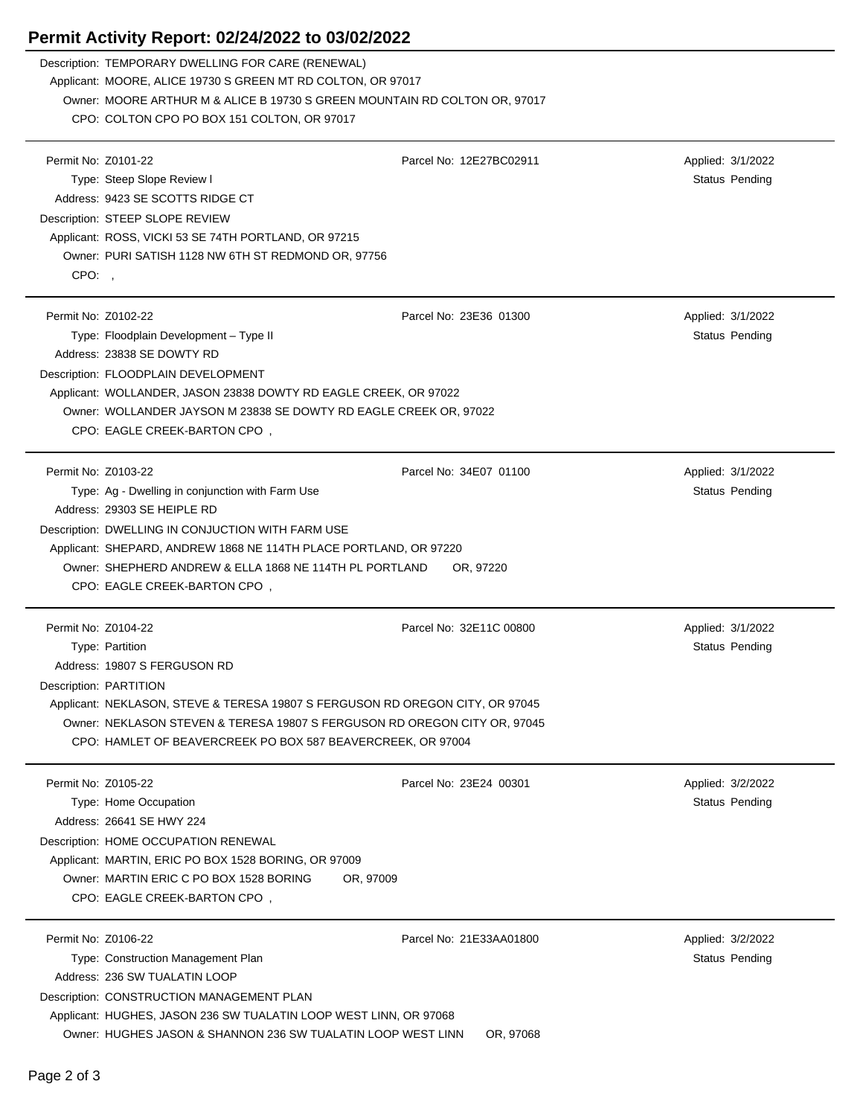## **Permit Activity Report: 02/24/2022 to 03/02/2022**

| Description: TEMPORARY DWELLING FOR CARE (RENEWAL)                        |                                                                                         |                   |  |  |  |  |
|---------------------------------------------------------------------------|-----------------------------------------------------------------------------------------|-------------------|--|--|--|--|
|                                                                           | Applicant: MOORE, ALICE 19730 S GREEN MT RD COLTON, OR 97017                            |                   |  |  |  |  |
|                                                                           | Owner: MOORE ARTHUR M & ALICE B 19730 S GREEN MOUNTAIN RD COLTON OR, 97017              |                   |  |  |  |  |
| CPO: COLTON CPO PO BOX 151 COLTON, OR 97017                               |                                                                                         |                   |  |  |  |  |
| Permit No: Z0101-22                                                       | Parcel No: 12E27BC02911                                                                 | Applied: 3/1/2022 |  |  |  |  |
|                                                                           |                                                                                         |                   |  |  |  |  |
| Type: Steep Slope Review I                                                |                                                                                         | Status Pending    |  |  |  |  |
| Address: 9423 SE SCOTTS RIDGE CT                                          |                                                                                         |                   |  |  |  |  |
|                                                                           | Description: STEEP SLOPE REVIEW<br>Applicant: ROSS, VICKI 53 SE 74TH PORTLAND, OR 97215 |                   |  |  |  |  |
|                                                                           |                                                                                         |                   |  |  |  |  |
| Owner: PURI SATISH 1128 NW 6TH ST REDMOND OR, 97756                       |                                                                                         |                   |  |  |  |  |
| CPO:,                                                                     |                                                                                         |                   |  |  |  |  |
| Permit No: Z0102-22                                                       | Parcel No: 23E36 01300                                                                  | Applied: 3/1/2022 |  |  |  |  |
| Type: Floodplain Development - Type II                                    |                                                                                         | Status Pending    |  |  |  |  |
| Address: 23838 SE DOWTY RD                                                |                                                                                         |                   |  |  |  |  |
| Description: FLOODPLAIN DEVELOPMENT                                       |                                                                                         |                   |  |  |  |  |
| Applicant: WOLLANDER, JASON 23838 DOWTY RD EAGLE CREEK, OR 97022          |                                                                                         |                   |  |  |  |  |
|                                                                           | Owner: WOLLANDER JAYSON M 23838 SE DOWTY RD EAGLE CREEK OR, 97022                       |                   |  |  |  |  |
| CPO: EAGLE CREEK-BARTON CPO,                                              |                                                                                         |                   |  |  |  |  |
|                                                                           |                                                                                         |                   |  |  |  |  |
| Permit No: Z0103-22                                                       | Parcel No: 34E07 01100                                                                  | Applied: 3/1/2022 |  |  |  |  |
| Type: Ag - Dwelling in conjunction with Farm Use                          |                                                                                         | Status Pending    |  |  |  |  |
| Address: 29303 SE HEIPLE RD                                               |                                                                                         |                   |  |  |  |  |
| Description: DWELLING IN CONJUCTION WITH FARM USE                         |                                                                                         |                   |  |  |  |  |
| Applicant: SHEPARD, ANDREW 1868 NE 114TH PLACE PORTLAND, OR 97220         |                                                                                         |                   |  |  |  |  |
| Owner: SHEPHERD ANDREW & ELLA 1868 NE 114TH PL PORTLAND                   | OR, 97220                                                                               |                   |  |  |  |  |
| CPO: EAGLE CREEK-BARTON CPO,                                              |                                                                                         |                   |  |  |  |  |
|                                                                           |                                                                                         |                   |  |  |  |  |
| Permit No: Z0104-22                                                       | Parcel No: 32E11C 00800                                                                 | Applied: 3/1/2022 |  |  |  |  |
| Type: Partition                                                           |                                                                                         | Status Pending    |  |  |  |  |
| Address: 19807 S FERGUSON RD                                              |                                                                                         |                   |  |  |  |  |
| Description: PARTITION                                                    |                                                                                         |                   |  |  |  |  |
|                                                                           | Applicant: NEKLASON, STEVE & TERESA 19807 S FERGUSON RD OREGON CITY, OR 97045           |                   |  |  |  |  |
| Owner: NEKLASON STEVEN & TERESA 19807 S FERGUSON RD OREGON CITY OR, 97045 |                                                                                         |                   |  |  |  |  |
| CPO: HAMLET OF BEAVERCREEK PO BOX 587 BEAVERCREEK, OR 97004               |                                                                                         |                   |  |  |  |  |
| Permit No: Z0105-22                                                       | Parcel No: 23E24 00301                                                                  | Applied: 3/2/2022 |  |  |  |  |
| Type: Home Occupation                                                     |                                                                                         | Status Pending    |  |  |  |  |
| Address: 26641 SE HWY 224                                                 |                                                                                         |                   |  |  |  |  |
| Description: HOME OCCUPATION RENEWAL                                      |                                                                                         |                   |  |  |  |  |
| Applicant: MARTIN, ERIC PO BOX 1528 BORING, OR 97009                      |                                                                                         |                   |  |  |  |  |
| Owner: MARTIN ERIC C PO BOX 1528 BORING                                   | OR, 97009                                                                               |                   |  |  |  |  |
| CPO: EAGLE CREEK-BARTON CPO,                                              |                                                                                         |                   |  |  |  |  |
|                                                                           |                                                                                         |                   |  |  |  |  |
| Permit No: Z0106-22                                                       | Parcel No: 21E33AA01800                                                                 | Applied: 3/2/2022 |  |  |  |  |
| Type: Construction Management Plan                                        |                                                                                         | Status Pending    |  |  |  |  |
| Address: 236 SW TUALATIN LOOP                                             |                                                                                         |                   |  |  |  |  |
| Description: CONSTRUCTION MANAGEMENT PLAN                                 |                                                                                         |                   |  |  |  |  |
| Applicant: HUGHES, JASON 236 SW TUALATIN LOOP WEST LINN, OR 97068         |                                                                                         |                   |  |  |  |  |
| Owner: HUGHES JASON & SHANNON 236 SW TUALATIN LOOP WEST LINN              | OR, 97068                                                                               |                   |  |  |  |  |
|                                                                           |                                                                                         |                   |  |  |  |  |